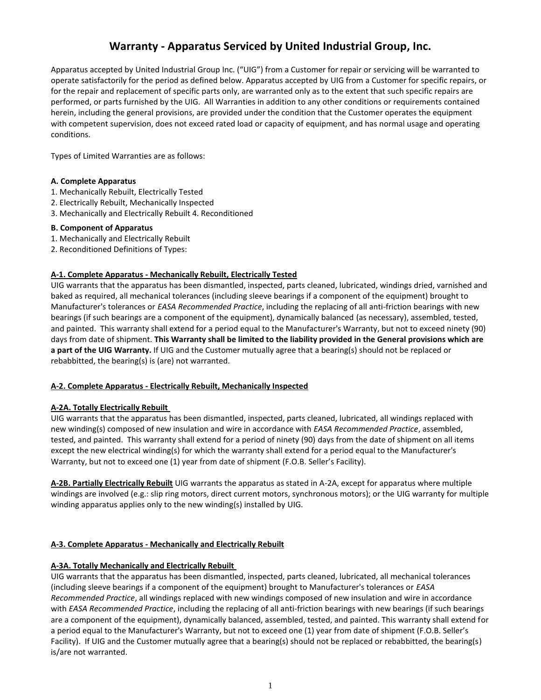# **Warranty - Apparatus Serviced by United Industrial Group, Inc.**

Apparatus accepted by United Industrial Group Inc. ("UIG") from a Customer for repair or servicing will be warranted to operate satisfactorily for the period as defined below. Apparatus accepted by UIG from a Customer for specific repairs, or for the repair and replacement of specific parts only, are warranted only as to the extent that such specific repairs are performed, or parts furnished by the UIG. All Warranties in addition to any other conditions or requirements contained herein, including the general provisions, are provided under the condition that the Customer operates the equipment with competent supervision, does not exceed rated load or capacity of equipment, and has normal usage and operating conditions.

Types of Limited Warranties are as follows:

## **A. Complete Apparatus**

- 1. Mechanically Rebuilt, Electrically Tested
- 2. Electrically Rebuilt, Mechanically Inspected
- 3. Mechanically and Electrically Rebuilt 4. Reconditioned

## **B. Component of Apparatus**

- 1. Mechanically and Electrically Rebuilt
- 2. Reconditioned Definitions of Types:

## **A-1. Complete Apparatus - Mechanically Rebuilt, Electrically Tested**

UIG warrants that the apparatus has been dismantled, inspected, parts cleaned, lubricated, windings dried, varnished and baked as required, all mechanical tolerances (including sleeve bearings if a component of the equipment) brought to Manufacturer's tolerances or *EASA Recommended Practice*, including the replacing of all anti-friction bearings with new bearings (if such bearings are a component of the equipment), dynamically balanced (as necessary), assembled, tested, and painted. This warranty shall extend for a period equal to the Manufacturer's Warranty, but not to exceed ninety (90) days from date of shipment. **This Warranty shall be limited to the liability provided in the General provisions which are a part of the UIG Warranty.** If UIG and the Customer mutually agree that a bearing(s) should not be replaced or rebabbitted, the bearing(s) is (are) not warranted.

## **A-2. Complete Apparatus - Electrically Rebuilt, Mechanically Inspected**

## **A-2A. Totally Electrically Rebuilt**

UIG warrants that the apparatus has been dismantled, inspected, parts cleaned, lubricated, all windings replaced with new winding(s) composed of new insulation and wire in accordance with *EASA Recommended Practice*, assembled, tested, and painted. This warranty shall extend for a period of ninety (90) days from the date of shipment on all items except the new electrical winding(s) for which the warranty shall extend for a period equal to the Manufacturer's Warranty, but not to exceed one (1) year from date of shipment (F.O.B. Seller's Facility).

**A-2B. Partially Electrically Rebuilt** UIG warrants the apparatus as stated in A-2A, except for apparatus where multiple windings are involved (e.g.: slip ring motors, direct current motors, synchronous motors); or the UIG warranty for multiple winding apparatus applies only to the new winding(s) installed by UIG.

## **A-3. Complete Apparatus - Mechanically and Electrically Rebuilt**

## **A-3A. Totally Mechanically and Electrically Rebuilt**

UIG warrants that the apparatus has been dismantled, inspected, parts cleaned, lubricated, all mechanical tolerances (including sleeve bearings if a component of the equipment) brought to Manufacturer's tolerances or *EASA Recommended Practice*, all windings replaced with new windings composed of new insulation and wire in accordance with *EASA Recommended Practice*, including the replacing of all anti-friction bearings with new bearings (if such bearings are a component of the equipment), dynamically balanced, assembled, tested, and painted. This warranty shall extend for a period equal to the Manufacturer's Warranty, but not to exceed one (1) year from date of shipment (F.O.B. Seller's Facility). If UIG and the Customer mutually agree that a bearing(s) should not be replaced or rebabbitted, the bearing(s) is/are not warranted.